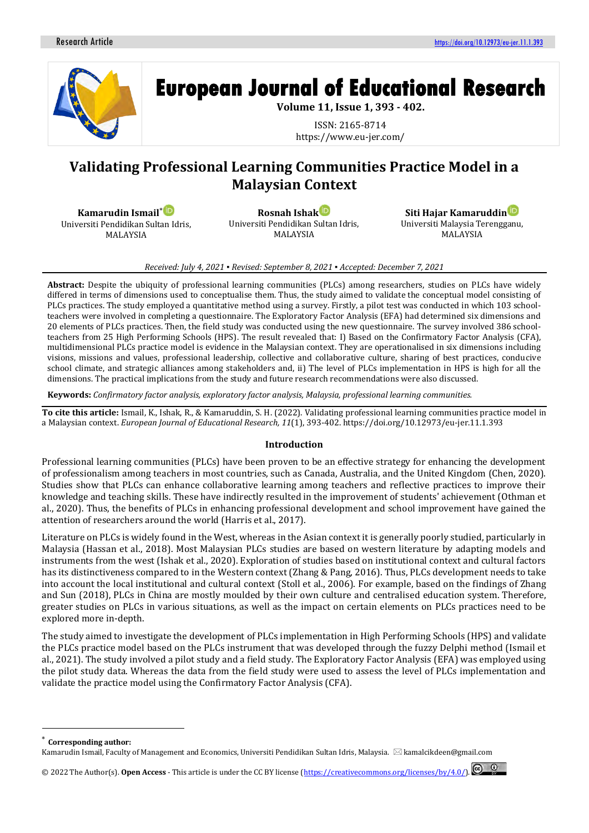

# **European Journal of Educational Research**

**Volume 11, Issue 1, 393 - 402.**

ISSN: 2165-8714 https://www.eu-jer.com/

# **Validating Professional Learning Communities Practice Model in a Malaysian Context**

**Kamarudin Ismail**\* Universiti Pendidikan Sultan Idris, MALAYSIA

**Rosnah Isha[k](https://orcid.org/0000-0002-7886-2554)** Universiti Pendidikan Sultan Idris, MALAYSIA

**Siti Hajar Kamaruddin** Universiti Malaysia Terengganu, MALAYSIA

#### *Received: July 4, 2021 ▪ Revised: September 8, 2021 ▪ Accepted: December 7, 2021*

**Abstract:** Despite the ubiquity of professional learning communities (PLCs) among researchers, studies on PLCs have widely differed in terms of dimensions used to conceptualise them. Thus, the study aimed to validate the conceptual model consisting of PLCs practices. The study employed a quantitative method using a survey. Firstly, a pilot test was conducted in which 103 schoolteachers were involved in completing a questionnaire. The Exploratory Factor Analysis (EFA) had determined six dimensions and 20 elements of PLCs practices. Then, the field study was conducted using the new questionnaire. The survey involved 386 schoolteachers from 25 High Performing Schools (HPS). The result revealed that: I) Based on the Confirmatory Factor Analysis (CFA), multidimensional PLCs practice model is evidence in the Malaysian context. They are operationalised in six dimensions including visions, missions and values, professional leadership, collective and collaborative culture, sharing of best practices, conducive school climate, and strategic alliances among stakeholders and, ii) The level of PLCs implementation in HPS is high for all the dimensions. The practical implications from the study and future research recommendations were also discussed.

**Keywords:** *Confirmatory factor analysis, exploratory factor analysis, Malaysia, professional learning communities.*

**To cite this article:** Ismail, K., Ishak, R., & Kamaruddin, S. H. (2022). Validating professional learning communities practice model in a Malaysian context. *European Journal of Educational Research, 11*(1), 393-402. https://doi.org/10.12973/eu-jer.11.1.393

### **Introduction**

Professional learning communities (PLCs) have been proven to be an effective strategy for enhancing the development of professionalism among teachers in most countries, such as Canada, Australia, and the United Kingdom (Chen, 2020). Studies show that PLCs can enhance collaborative learning among teachers and reflective practices to improve their knowledge and teaching skills. These have indirectly resulted in the improvement of students' achievement (Othman et al., 2020). Thus, the benefits of PLCs in enhancing professional development and school improvement have gained the attention of researchers around the world (Harris et al., 2017).

Literature on PLCs is widely found in the West, whereas in the Asian context it is generally poorly studied, particularly in Malaysia (Hassan et al., 2018). Most Malaysian PLCs studies are based on western literature by adapting models and instruments from the west (Ishak et al., 2020). Exploration of studies based on institutional context and cultural factors has its distinctiveness compared to in the Western context (Zhang & Pang, 2016). Thus, PLCs development needs to take into account the local institutional and cultural context (Stoll et al., 2006). For example, based on the findings of Zhang and Sun (2018), PLCs in China are mostly moulded by their own culture and centralised education system. Therefore, greater studies on PLCs in various situations, as well as the impact on certain elements on PLCs practices need to be explored more in-depth.

The study aimed to investigate the development of PLCs implementation in High Performing Schools (HPS) and validate the PLCs practice model based on the PLCs instrument that was developed through the fuzzy Delphi method (Ismail et al., 2021). The study involved a pilot study and a field study. The Exploratory Factor Analysis (EFA) was employed using the pilot study data. Whereas the data from the field study were used to assess the level of PLCs implementation and validate the practice model using the Confirmatory Factor Analysis (CFA).

**Corresponding author:** 

Kamarudin Ismail, Faculty of Management and Economics, Universiti Pendidikan Sultan Idris, Malaysia.  $\boxtimes$ kamalcikdeen@gmail.com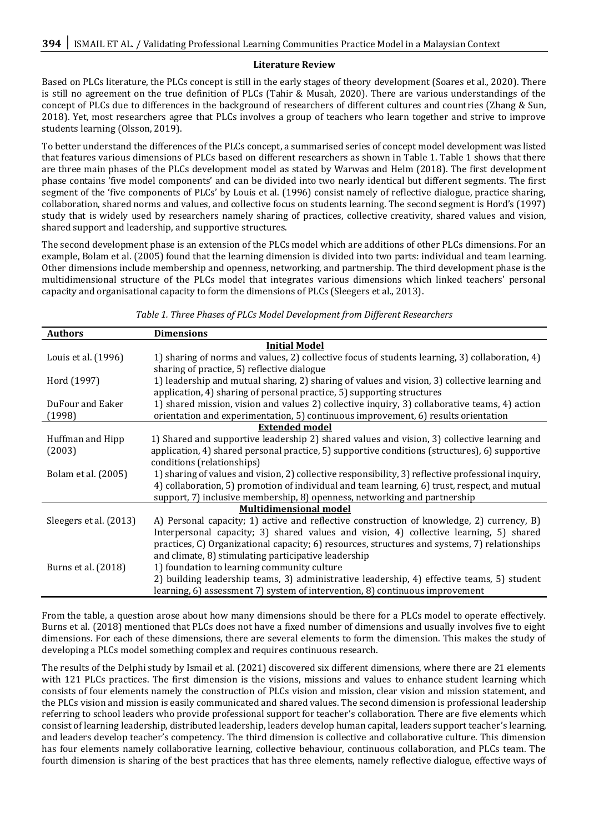# **Literature Review**

Based on PLCs literature, the PLCs concept is still in the early stages of theory development (Soares et al., 2020). There is still no agreement on the true definition of PLCs (Tahir & Musah, 2020). There are various understandings of the concept of PLCs due to differences in the background of researchers of different cultures and countries (Zhang & Sun, 2018). Yet, most researchers agree that PLCs involves a group of teachers who learn together and strive to improve students learning (Olsson, 2019).

To better understand the differences of the PLCs concept, a summarised series of concept model development was listed that features various dimensions of PLCs based on different researchers as shown in Table 1. Table 1 shows that there are three main phases of the PLCs development model as stated by Warwas and Helm (2018). The first development phase contains 'five model components' and can be divided into two nearly identical but different segments. The first segment of the 'five components of PLCs' by Louis et al. (1996) consist namely of reflective dialogue, practice sharing, collaboration, shared norms and values, and collective focus on students learning. The second segment is Hord's (1997) study that is widely used by researchers namely sharing of practices, collective creativity, shared values and vision, shared support and leadership, and supportive structures.

The second development phase is an extension of the PLCs model which are additions of other PLCs dimensions. For an example, Bolam et al. (2005) found that the learning dimension is divided into two parts: individual and team learning. Other dimensions include membership and openness, networking, and partnership. The third development phase is the multidimensional structure of the PLCs model that integrates various dimensions which linked teachers' personal capacity and organisational capacity to form the dimensions of PLCs (Sleegers et al., 2013).

| <b>Authors</b>         | <b>Dimensions</b>                                                                                  |  |  |  |  |
|------------------------|----------------------------------------------------------------------------------------------------|--|--|--|--|
|                        | <b>Initial Model</b>                                                                               |  |  |  |  |
| Louis et al. (1996)    | 1) sharing of norms and values, 2) collective focus of students learning, 3) collaboration, 4)     |  |  |  |  |
|                        | sharing of practice, 5) reflective dialogue                                                        |  |  |  |  |
| Hord (1997)            | 1) leadership and mutual sharing, 2) sharing of values and vision, 3) collective learning and      |  |  |  |  |
|                        | application, 4) sharing of personal practice, 5) supporting structures                             |  |  |  |  |
| DuFour and Eaker       | 1) shared mission, vision and values 2) collective inquiry, 3) collaborative teams, 4) action      |  |  |  |  |
| (1998)                 | orientation and experimentation, 5) continuous improvement, 6) results orientation                 |  |  |  |  |
|                        | <b>Extended model</b>                                                                              |  |  |  |  |
| Huffman and Hipp       | 1) Shared and supportive leadership 2) shared values and vision, 3) collective learning and        |  |  |  |  |
| (2003)                 | application, 4) shared personal practice, 5) supportive conditions (structures), 6) supportive     |  |  |  |  |
|                        | conditions (relationships)                                                                         |  |  |  |  |
| Bolam et al. (2005)    | 1) sharing of values and vision, 2) collective responsibility, 3) reflective professional inquiry, |  |  |  |  |
|                        | 4) collaboration, 5) promotion of individual and team learning, 6) trust, respect, and mutual      |  |  |  |  |
|                        | support, 7) inclusive membership, 8) openness, networking and partnership                          |  |  |  |  |
|                        | <b>Multidimensional model</b>                                                                      |  |  |  |  |
| Sleegers et al. (2013) | A) Personal capacity; 1) active and reflective construction of knowledge, 2) currency, B)          |  |  |  |  |
|                        | Interpersonal capacity; 3) shared values and vision, 4) collective learning, 5) shared             |  |  |  |  |
|                        | practices, C) Organizational capacity; 6) resources, structures and systems, 7) relationships      |  |  |  |  |
|                        | and climate, 8) stimulating participative leadership                                               |  |  |  |  |
| Burns et al. (2018)    | 1) foundation to learning community culture                                                        |  |  |  |  |
|                        | 2) building leadership teams, 3) administrative leadership, 4) effective teams, 5) student         |  |  |  |  |
|                        | learning, 6) assessment 7) system of intervention, 8) continuous improvement                       |  |  |  |  |

*Table 1. Three Phases of PLCs Model Development from Different Researchers*

From the table, a question arose about how many dimensions should be there for a PLCs model to operate effectively. Burns et al. (2018) mentioned that PLCs does not have a fixed number of dimensions and usually involves five to eight dimensions. For each of these dimensions, there are several elements to form the dimension. This makes the study of developing a PLCs model something complex and requires continuous research.

The results of the Delphi study by Ismail et al. (2021) discovered six different dimensions, where there are 21 elements with 121 PLCs practices. The first dimension is the visions, missions and values to enhance student learning which consists of four elements namely the construction of PLCs vision and mission, clear vision and mission statement, and the PLCs vision and mission is easily communicated and shared values. The second dimension is professional leadership referring to school leaders who provide professional support for teacher's collaboration. There are five elements which consist of learning leadership, distributed leadership, leaders develop human capital, leaders support teacher's learning, and leaders develop teacher's competency. The third dimension is collective and collaborative culture. This dimension has four elements namely collaborative learning, collective behaviour, continuous collaboration, and PLCs team. The fourth dimension is sharing of the best practices that has three elements, namely reflective dialogue, effective ways of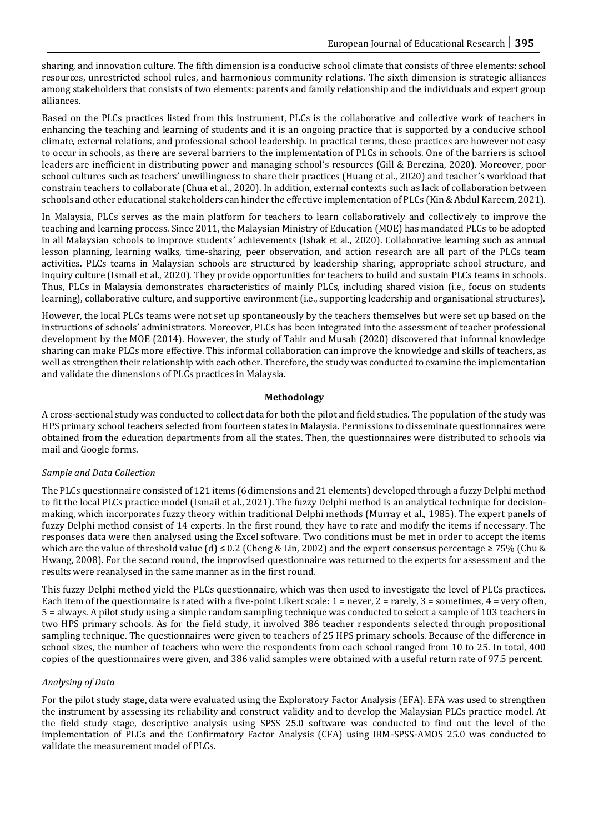sharing, and innovation culture. The fifth dimension is a conducive school climate that consists of three elements: school resources, unrestricted school rules, and harmonious community relations. The sixth dimension is strategic alliances among stakeholders that consists of two elements: parents and family relationship and the individuals and expert group alliances.

Based on the PLCs practices listed from this instrument, PLCs is the collaborative and collective work of teachers in enhancing the teaching and learning of students and it is an ongoing practice that is supported by a conducive school climate, external relations, and professional school leadership. In practical terms, these practices are however not easy to occur in schools, as there are several barriers to the implementation of PLCs in schools. One of the barriers is school leaders are inefficient in distributing power and managing school's resources (Gill & Berezina, 2020). Moreover, poor school cultures such as teachers' unwillingness to share their practices (Huang et al., 2020) and teacher's workload that constrain teachers to collaborate (Chua et al., 2020). In addition, external contexts such as lack of collaboration between schools and other educational stakeholders can hinder the effective implementation of PLCs (Kin & Abdul Kareem, 2021).

In Malaysia, PLCs serves as the main platform for teachers to learn collaboratively and collectively to improve the teaching and learning process. Since 2011, the Malaysian Ministry of Education (MOE) has mandated PLCs to be adopted in all Malaysian schools to improve students' achievements (Ishak et al., 2020). Collaborative learning such as annual lesson planning, learning walks, time-sharing, peer observation, and action research are all part of the PLCs team activities. PLCs teams in Malaysian schools are structured by leadership sharing, appropriate school structure, and inquiry culture (Ismail et al., 2020). They provide opportunities for teachers to build and sustain PLCs teams in schools. Thus, PLCs in Malaysia demonstrates characteristics of mainly PLCs, including shared vision (i.e., focus on students learning), collaborative culture, and supportive environment (i.e., supporting leadership and organisational structures).

However, the local PLCs teams were not set up spontaneously by the teachers themselves but were set up based on the instructions of schools' administrators. Moreover, PLCs has been integrated into the assessment of teacher professional development by the MOE (2014). However, the study of Tahir and Musah (2020) discovered that informal knowledge sharing can make PLCs more effective. This informal collaboration can improve the knowledge and skills of teachers, as well as strengthen their relationship with each other. Therefore, the study was conducted to examine the implementation and validate the dimensions of PLCs practices in Malaysia.

# **Methodology**

A cross-sectional study was conducted to collect data for both the pilot and field studies. The population of the study was HPS primary school teachers selected from fourteen states in Malaysia. Permissions to disseminate questionnaires were obtained from the education departments from all the states. Then, the questionnaires were distributed to schools via mail and Google forms.

# *Sample and Data Collection*

The PLCs questionnaire consisted of 121 items (6 dimensions and 21 elements) developed through a fuzzy Delphi method to fit the local PLCs practice model (Ismail et al., 2021). The fuzzy Delphi method is an analytical technique for decisionmaking, which incorporates fuzzy theory within traditional Delphi methods (Murray et al., 1985). The expert panels of fuzzy Delphi method consist of 14 experts. In the first round, they have to rate and modify the items if necessary. The responses data were then analysed using the Excel software. Two conditions must be met in order to accept the items which are the value of threshold value (d)  $\leq 0.2$  (Cheng & Lin, 2002) and the expert consensus percentage  $\geq 75\%$  (Chu & Hwang, 2008). For the second round, the improvised questionnaire was returned to the experts for assessment and the results were reanalysed in the same manner as in the first round.

This fuzzy Delphi method yield the PLCs questionnaire, which was then used to investigate the level of PLCs practices. Each item of the questionnaire is rated with a five-point Likert scale:  $1 =$  never,  $2 =$  rarely,  $3 =$  sometimes,  $4 =$  very often, 5 = always. A pilot study using a simple random sampling technique was conducted to select a sample of 103 teachers in two HPS primary schools. As for the field study, it involved 386 teacher respondents selected through propositional sampling technique. The questionnaires were given to teachers of 25 HPS primary schools. Because of the difference in school sizes, the number of teachers who were the respondents from each school ranged from 10 to 25. In total, 400 copies of the questionnaires were given, and 386 valid samples were obtained with a useful return rate of 97.5 percent.

### *Analysing of Data*

For the pilot study stage, data were evaluated using the Exploratory Factor Analysis (EFA). EFA was used to strengthen the instrument by assessing its reliability and construct validity and to develop the Malaysian PLCs practice model. At the field study stage, descriptive analysis using SPSS 25.0 software was conducted to find out the level of the implementation of PLCs and the Confirmatory Factor Analysis (CFA) using IBM-SPSS-AMOS 25.0 was conducted to validate the measurement model of PLCs.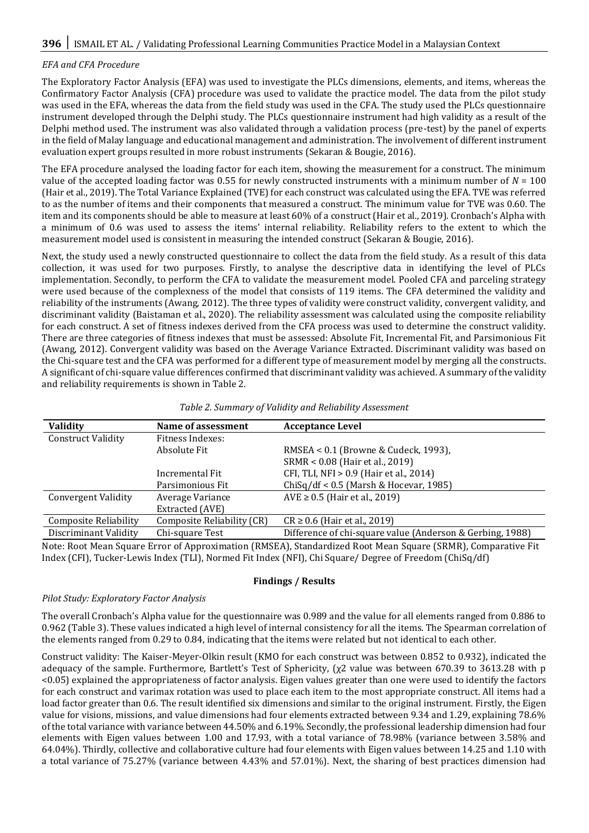# *EFA and CFA Procedure*

The Exploratory Factor Analysis (EFA) was used to investigate the PLCs dimensions, elements, and items, whereas the Confirmatory Factor Analysis (CFA) procedure was used to validate the practice model. The data from the pilot study was used in the EFA, whereas the data from the field study was used in the CFA. The study used the PLCs questionnaire instrument developed through the Delphi study. The PLCs questionnaire instrument had high validity as a result of the Delphi method used. The instrument was also validated through a validation process (pre-test) by the panel of experts in the field of Malay language and educational management and administration. The involvement of different instrument evaluation expert groups resulted in more robust instruments (Sekaran & Bougie, 2016).

The EFA procedure analysed the loading factor for each item, showing the measurement for a construct. The minimum value of the accepted loading factor was 0.55 for newly constructed instruments with a minimum number of  $N = 100$ (Hair et al., 2019). The Total Variance Explained (TVE) for each construct was calculated using the EFA. TVE was referred to as the number of items and their components that measured a construct. The minimum value for TVE was 0.60. The item and its components should be able to measure at least 60% of a construct (Hair et al., 2019). Cronbach's Alpha with a minimum of 0.6 was used to assess the items' internal reliability. Reliability refers to the extent to which the measurement model used is consistent in measuring the intended construct (Sekaran & Bougie, 2016).

Next, the study used a newly constructed questionnaire to collect the data from the field study. As a result of this data collection, it was used for two purposes. Firstly, to analyse the descriptive data in identifying the level of PLCs implementation. Secondly, to perform the CFA to validate the measurement model. Pooled CFA and parceling strategy were used because of the complexness of the model that consists of 119 items. The CFA determined the validity and reliability of the instruments (Awang, 2012). The three types of validity were construct validity, convergent validity, and discriminant validity (Baistaman et al., 2020). The reliability assessment was calculated using the composite reliability for each construct. A set of fitness indexes derived from the CFA process was used to determine the construct validity. There are three categories of fitness indexes that must be assessed: Absolute Fit, Incremental Fit, and Parsimonious Fit (Awang, 2012). Convergent validity was based on the Average Variance Extracted. Discriminant validity was based on the Chi-square test and the CFA was performed for a different type of measurement model by merging all the constructs. A significant of chi-square value differences confirmed that discriminant validity was achieved. A summary of the validity and reliability requirements is shown in Table 2.

| <b>Validity</b>              | Name of assessment         | <b>Acceptance Level</b>                                                                                      |
|------------------------------|----------------------------|--------------------------------------------------------------------------------------------------------------|
| <b>Construct Validity</b>    | Fitness Indexes:           |                                                                                                              |
|                              | Absolute Fit               | RMSEA < 0.1 (Browne & Cudeck, 1993),                                                                         |
|                              |                            | SRMR < 0.08 (Hair et al., 2019)                                                                              |
|                              | Incremental Fit            | CFI, TLI, NFI > 0.9 (Hair et al., 2014)                                                                      |
|                              | Parsimonious Fit           | $ChiSq/df < 0.5$ (Marsh & Hocevar, 1985)                                                                     |
| <b>Convergent Validity</b>   | Average Variance           | $AVE \ge 0.5$ (Hair et al., 2019)                                                                            |
|                              | Extracted (AVE)            |                                                                                                              |
| <b>Composite Reliability</b> | Composite Reliability (CR) | $CR \ge 0.6$ (Hair et al., 2019)                                                                             |
| Discriminant Validity        | Chi-square Test            | Difference of chi-square value (Anderson & Gerbing, 1988)                                                    |
|                              |                            | Note: Root Mean Square Error of Annroximation (RMSEA), Standardized Root Mean Square (SRMR), Comparative Fit |

Note: Root Mean Square Error of Approximation (RMSEA), Standardized Root Mean Square (SRMR), Comparative Fit Index (CFI), Tucker-Lewis Index (TLI), Normed Fit Index (NFI), Chi Square/ Degree of Freedom (ChiSq/df)

### **Findings / Results**

### *Pilot Study: Exploratory Factor Analysis*

The overall Cronbach's Alpha value for the questionnaire was 0.989 and the value for all elements ranged from 0.886 to 0.962 (Table 3). These values indicated a high level of internal consistency for all the items. The Spearman correlation of the elements ranged from 0.29 to 0.84, indicating that the items were related but not identical to each other.

Construct validity: The Kaiser-Meyer-Olkin result (KMO for each construct was between 0.852 to 0.932), indicated the adequacy of the sample. Furthermore, Bartlett's Test of Sphericity, (χ2 value was between 670.39 to 3613.28 with p <0.05) explained the appropriateness of factor analysis. Eigen values greater than one were used to identify the factors for each construct and varimax rotation was used to place each item to the most appropriate construct. All items had a load factor greater than 0.6. The result identified six dimensions and similar to the original instrument. Firstly, the Eigen value for visions, missions, and value dimensions had four elements extracted between 9.34 and 1.29, explaining 78.6% of the total variance with variance between 44.50% and 6.19%. Secondly, the professional leadership dimension had four elements with Eigen values between 1.00 and 17.93, with a total variance of 78.98% (variance between 3.58% and 64.04%). Thirdly, collective and collaborative culture had four elements with Eigen values between 14.25 and 1.10 with a total variance of 75.27% (variance between 4.43% and 57.01%). Next, the sharing of best practices dimension had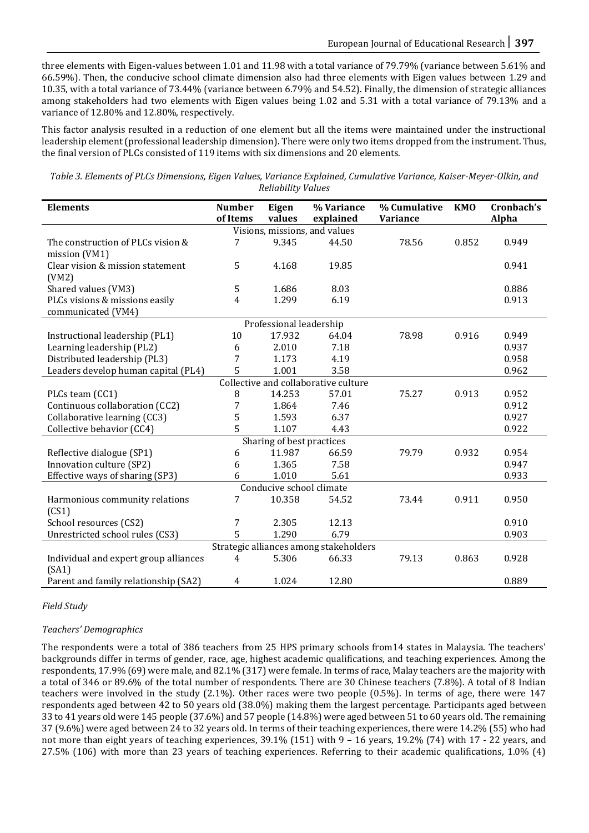three elements with Eigen-values between 1.01 and 11.98 with a total variance of 79.79% (variance between 5.61% and 66.59%). Then, the conducive school climate dimension also had three elements with Eigen values between 1.29 and 10.35, with a total variance of 73.44% (variance between 6.79% and 54.52). Finally, the dimension of strategic alliances among stakeholders had two elements with Eigen values being 1.02 and 5.31 with a total variance of 79.13% and a variance of 12.80% and 12.80%, respectively.

This factor analysis resulted in a reduction of one element but all the items were maintained under the instructional leadership element (professional leadership dimension). There were only two items dropped from the instrument. Thus, the final version of PLCs consisted of 119 items with six dimensions and 20 elements.

*Table 3. Elements of PLCs Dimensions, Eigen Values, Variance Explained, Cumulative Variance, Kaiser-Meyer-Olkin, and Reliability Values*

| <b>Elements</b>                        | <b>Number</b>                        | Eigen                   | % Variance | % Cumulative | <b>KMO</b> | Cronbach's |  |  |
|----------------------------------------|--------------------------------------|-------------------------|------------|--------------|------------|------------|--|--|
|                                        | of Items                             | values                  | explained  | Variance     |            | Alpha      |  |  |
| Visions, missions, and values          |                                      |                         |            |              |            |            |  |  |
| The construction of PLCs vision &      | 7                                    | 9.345                   | 44.50      | 78.56        | 0.852      | 0.949      |  |  |
| mission (VM1)                          |                                      |                         |            |              |            |            |  |  |
| Clear vision & mission statement       | 5                                    | 4.168                   | 19.85      |              |            | 0.941      |  |  |
| (VM2)                                  |                                      |                         |            |              |            |            |  |  |
| Shared values (VM3)                    | 5                                    | 1.686                   | 8.03       |              |            | 0.886      |  |  |
| PLCs visions & missions easily         | 4                                    | 1.299                   | 6.19       |              |            | 0.913      |  |  |
| communicated (VM4)                     |                                      |                         |            |              |            |            |  |  |
|                                        |                                      | Professional leadership |            |              |            |            |  |  |
| Instructional leadership (PL1)         | 10                                   | 17.932                  | 64.04      | 78.98        | 0.916      | 0.949      |  |  |
| Learning leadership (PL2)              | 6                                    | 2.010                   | 7.18       |              |            | 0.937      |  |  |
| Distributed leadership (PL3)           | 7                                    | 1.173                   | 4.19       |              |            | 0.958      |  |  |
| Leaders develop human capital (PL4)    | 5                                    | 1.001                   | 3.58       |              |            | 0.962      |  |  |
|                                        | Collective and collaborative culture |                         |            |              |            |            |  |  |
| PLCs team (CC1)                        | 8                                    | 14.253                  | 57.01      | 75.27        | 0.913      | 0.952      |  |  |
| Continuous collaboration (CC2)         | 7                                    | 1.864                   | 7.46       |              |            | 0.912      |  |  |
| Collaborative learning (CC3)           | 5                                    | 1.593                   | 6.37       |              |            | 0.927      |  |  |
| Collective behavior (CC4)              | 5                                    | 1.107                   | 4.43       |              |            | 0.922      |  |  |
| Sharing of best practices              |                                      |                         |            |              |            |            |  |  |
| Reflective dialogue (SP1)              | 6                                    | 11.987                  | 66.59      | 79.79        | 0.932      | 0.954      |  |  |
| Innovation culture (SP2)               | 6                                    | 1.365                   | 7.58       |              |            | 0.947      |  |  |
| Effective ways of sharing (SP3)        | 6                                    | 1.010                   | 5.61       |              |            | 0.933      |  |  |
| Conducive school climate               |                                      |                         |            |              |            |            |  |  |
| Harmonious community relations         | 7                                    | 10.358                  | 54.52      | 73.44        | 0.911      | 0.950      |  |  |
| (CS1)                                  |                                      |                         |            |              |            |            |  |  |
| School resources (CS2)                 | 7                                    | 2.305                   | 12.13      |              |            | 0.910      |  |  |
| Unrestricted school rules (CS3)        | 5                                    | 1.290                   | 6.79       |              |            | 0.903      |  |  |
| Strategic alliances among stakeholders |                                      |                         |            |              |            |            |  |  |
| Individual and expert group alliances  | 4                                    | 5.306                   | 66.33      | 79.13        | 0.863      | 0.928      |  |  |
| (SA1)                                  |                                      |                         |            |              |            |            |  |  |
| Parent and family relationship (SA2)   | 4                                    | 1.024                   | 12.80      |              |            | 0.889      |  |  |

# *Field Study*

# *Teachers' Demographics*

The respondents were a total of 386 teachers from 25 HPS primary schools from14 states in Malaysia. The teachers' backgrounds differ in terms of gender, race, age, highest academic qualifications, and teaching experiences. Among the respondents, 17.9% (69) were male, and 82.1% (317) were female. In terms of race, Malay teachers are the majority with a total of 346 or 89.6% of the total number of respondents. There are 30 Chinese teachers (7.8%). A total of 8 Indian teachers were involved in the study (2.1%). Other races were two people (0.5%). In terms of age, there were 147 respondents aged between 42 to 50 years old (38.0%) making them the largest percentage. Participants aged between 33 to 41 years old were 145 people (37.6%) and 57 people (14.8%) were aged between 51 to 60 years old. The remaining 37 (9.6%) were aged between 24 to 32 years old. In terms of their teaching experiences, there were 14.2% (55) who had not more than eight years of teaching experiences, 39.1% (151) with 9 – 16 years, 19.2% (74) with 17 - 22 years, and 27.5% (106) with more than 23 years of teaching experiences. Referring to their academic qualifications, 1.0% (4)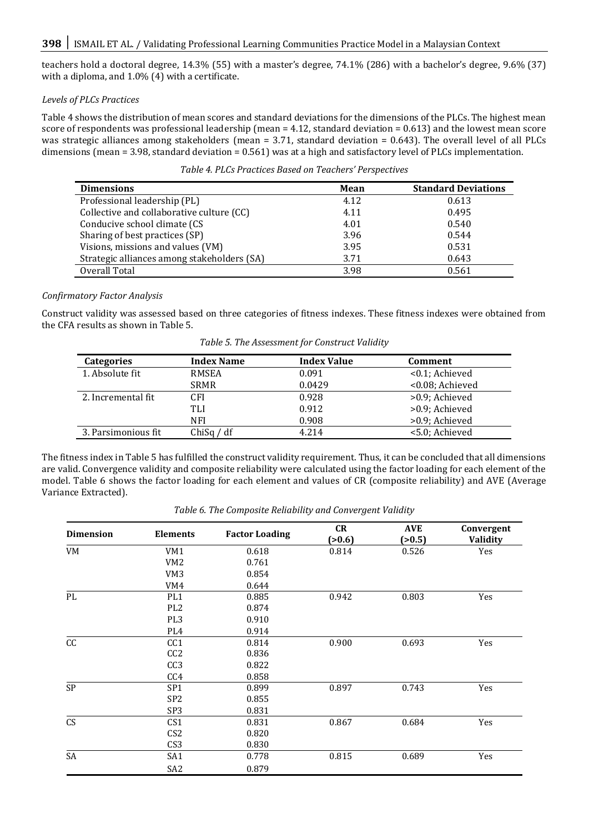teachers hold a doctoral degree, 14.3% (55) with a master's degree, 74.1% (286) with a bachelor's degree, 9.6% (37) with a diploma, and 1.0% (4) with a certificate.

## *Levels of PLCs Practices*

Table 4 shows the distribution of mean scores and standard deviations for the dimensions of the PLCs. The highest mean score of respondents was professional leadership (mean = 4.12, standard deviation = 0.613) and the lowest mean score was strategic alliances among stakeholders (mean = 3.71, standard deviation = 0.643). The overall level of all PLCs dimensions (mean = 3.98, standard deviation = 0.561) was at a high and satisfactory level of PLCs implementation.

*Table 4. PLCs Practices Based on Teachers' Perspectives*

| <b>Dimensions</b>                           | Mean | <b>Standard Deviations</b> |
|---------------------------------------------|------|----------------------------|
| Professional leadership (PL)                | 4.12 | 0.613                      |
| Collective and collaborative culture (CC)   | 4.11 | 0.495                      |
| Conducive school climate (CS                | 4.01 | 0.540                      |
| Sharing of best practices (SP)              | 3.96 | 0.544                      |
| Visions, missions and values (VM)           | 3.95 | 0.531                      |
| Strategic alliances among stakeholders (SA) | 3.71 | 0.643                      |
| Overall Total                               | 3.98 | 0.561                      |

# *Confirmatory Factor Analysis*

Construct validity was assessed based on three categories of fitness indexes. These fitness indexes were obtained from the CFA results as shown in Table 5.

| Table 5. The Assessment for Construct Valiaty |              |                    |                 |  |  |
|-----------------------------------------------|--------------|--------------------|-----------------|--|--|
| <b>Categories</b>                             | Index Name   | <b>Index Value</b> | Comment         |  |  |
| 1. Absolute fit                               | <b>RMSEA</b> | 0.091              | <0.1; Achieved  |  |  |
|                                               | <b>SRMR</b>  | 0.0429             | <0.08; Achieved |  |  |
| 2. Incremental fit                            | CFI          | 0.928              | >0.9; Achieved  |  |  |
|                                               | TLI          | 0.912              | >0.9; Achieved  |  |  |
|                                               | NFI          | 0.908              | >0.9; Achieved  |  |  |

3. Parsimonious fit ChiSq / df 4.214 <5.0; Achieved

*Table 5. The Assessment for Construct Validity*

The fitness index in Table 5 has fulfilled the construct validity requirement. Thus, it can be concluded that all dimensions are valid. Convergence validity and composite reliability were calculated using the factor loading for each element of the model. Table 6 shows the factor loading for each element and values of CR (composite reliability) and AVE (Average Variance Extracted).

|  |  |  | Table 6. The Composite Reliability and Convergent Validity |
|--|--|--|------------------------------------------------------------|
|--|--|--|------------------------------------------------------------|

| <b>Dimension</b><br><b>Elements</b> |                 | <b>Factor Loading</b> | <b>CR</b><br>(>0.6) | <b>AVE</b><br>(>0.5) | Convergent<br>Validity |  |
|-------------------------------------|-----------------|-----------------------|---------------------|----------------------|------------------------|--|
| VM                                  | VM1             | 0.618                 | 0.814               | 0.526                | Yes                    |  |
|                                     | VM <sub>2</sub> | 0.761                 |                     |                      |                        |  |
|                                     | VM <sub>3</sub> | 0.854                 |                     |                      |                        |  |
|                                     | VM4             | 0.644                 |                     |                      |                        |  |
| PL                                  | PL <sub>1</sub> | 0.885                 | 0.942               | 0.803                | Yes                    |  |
|                                     | PL <sub>2</sub> | 0.874                 |                     |                      |                        |  |
|                                     | PL <sub>3</sub> | 0.910                 |                     |                      |                        |  |
|                                     | PL <sub>4</sub> | 0.914                 |                     |                      |                        |  |
| cc                                  | CC <sub>1</sub> | 0.814                 | 0.900               | 0.693                | Yes                    |  |
|                                     | CC <sub>2</sub> | 0.836                 |                     |                      |                        |  |
|                                     | CC <sub>3</sub> | 0.822                 |                     |                      |                        |  |
|                                     | CC4             | 0.858                 |                     |                      |                        |  |
| SP                                  | SP <sub>1</sub> | 0.899                 | 0.897               | 0.743                | Yes                    |  |
|                                     | SP <sub>2</sub> | 0.855                 |                     |                      |                        |  |
|                                     | SP3             | 0.831                 |                     |                      |                        |  |
| CS                                  | CS1             | 0.831                 | 0.867               | 0.684                | Yes                    |  |
|                                     | CS <sub>2</sub> | 0.820                 |                     |                      |                        |  |
|                                     | CS <sub>3</sub> | 0.830                 |                     |                      |                        |  |
| SA                                  | SA1             | 0.778                 | 0.815               | 0.689                | Yes                    |  |
|                                     | SA <sub>2</sub> | 0.879                 |                     |                      |                        |  |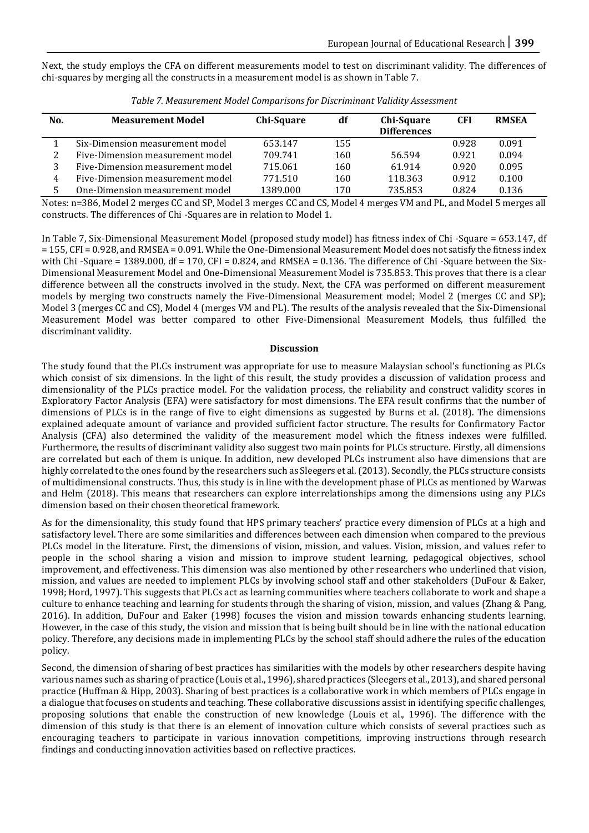Next, the study employs the CFA on different measurements model to test on discriminant validity. The differences of chi-squares by merging all the constructs in a measurement model is as shown in Table 7.

| No. | <b>Measurement Model</b>         | Chi-Square | df  | Chi-Square<br><b>Differences</b> | CFI   | <b>RMSEA</b> |
|-----|----------------------------------|------------|-----|----------------------------------|-------|--------------|
|     | Six-Dimension measurement model  | 653.147    | 155 |                                  | 0.928 | 0.091        |
|     | Five-Dimension measurement model | 709.741    | 160 | 56.594                           | 0.921 | 0.094        |
|     | Five-Dimension measurement model | 715.061    | 160 | 61.914                           | 0.920 | 0.095        |
| 4   | Five-Dimension measurement model | 771.510    | 160 | 118.363                          | 0.912 | 0.100        |
|     | One-Dimension measurement model  | 1389.000   | 170 | 735.853                          | 0.824 | 0.136        |

*Table 7. Measurement Model Comparisons for Discriminant Validity Assessment*

Notes: n=386, Model 2 merges CC and SP, Model 3 merges CC and CS, Model 4 merges VM and PL, and Model 5 merges all constructs. The differences of Chi -Squares are in relation to Model 1.

In Table 7, Six-Dimensional Measurement Model (proposed study model) has fitness index of Chi -Square = 653.147, df = 155, CFI = 0.928, and RMSEA = 0.091. While the One-Dimensional Measurement Model does not satisfy the fitness index with Chi -Square = 1389.000, df = 170, CFI =  $0.824$ , and RMSEA = 0.136. The difference of Chi -Square between the Six-Dimensional Measurement Model and One-Dimensional Measurement Model is 735.853. This proves that there is a clear difference between all the constructs involved in the study. Next, the CFA was performed on different measurement models by merging two constructs namely the Five-Dimensional Measurement model; Model 2 (merges CC and SP); Model 3 (merges CC and CS), Model 4 (merges VM and PL). The results of the analysis revealed that the Six-Dimensional Measurement Model was better compared to other Five-Dimensional Measurement Models, thus fulfilled the discriminant validity.

#### **Discussion**

The study found that the PLCs instrument was appropriate for use to measure Malaysian school's functioning as PLCs which consist of six dimensions. In the light of this result, the study provides a discussion of validation process and dimensionality of the PLCs practice model. For the validation process, the reliability and construct validity scores in Exploratory Factor Analysis (EFA) were satisfactory for most dimensions. The EFA result confirms that the number of dimensions of PLCs is in the range of five to eight dimensions as suggested by Burns et al. (2018). The dimensions explained adequate amount of variance and provided sufficient factor structure. The results for Confirmatory Factor Analysis (CFA) also determined the validity of the measurement model which the fitness indexes were fulfilled. Furthermore, the results of discriminant validity also suggest two main points for PLCs structure. Firstly, all dimensions are correlated but each of them is unique. In addition, new developed PLCs instrument also have dimensions that are highly correlated to the ones found by the researchers such as Sleegers et al. (2013). Secondly, the PLCs structure consists of multidimensional constructs. Thus, this study is in line with the development phase of PLCs as mentioned by Warwas and Helm (2018). This means that researchers can explore interrelationships among the dimensions using any PLCs dimension based on their chosen theoretical framework.

As for the dimensionality, this study found that HPS primary teachers' practice every dimension of PLCs at a high and satisfactory level. There are some similarities and differences between each dimension when compared to the previous PLCs model in the literature. First, the dimensions of vision, mission, and values. Vision, mission, and values refer to people in the school sharing a vision and mission to improve student learning, pedagogical objectives, school improvement, and effectiveness. This dimension was also mentioned by other researchers who underlined that vision, mission, and values are needed to implement PLCs by involving school staff and other stakeholders (DuFour & Eaker, 1998; Hord, 1997). This suggests that PLCs act as learning communities where teachers collaborate to work and shape a culture to enhance teaching and learning for students through the sharing of vision, mission, and values (Zhang & Pang, 2016). In addition, DuFour and Eaker (1998) focuses the vision and mission towards enhancing students learning. However, in the case of this study, the vision and mission that is being built should be in line with the national education policy. Therefore, any decisions made in implementing PLCs by the school staff should adhere the rules of the education policy.

Second, the dimension of sharing of best practices has similarities with the models by other researchers despite having various names such as sharing of practice (Louis et al., 1996), shared practices (Sleegers et al., 2013), and shared personal practice (Huffman & Hipp, 2003). Sharing of best practices is a collaborative work in which members of PLCs engage in a dialogue that focuses on students and teaching. These collaborative discussions assist in identifying specific challenges, proposing solutions that enable the construction of new knowledge (Louis et al., 1996). The difference with the dimension of this study is that there is an element of innovation culture which consists of several practices such as encouraging teachers to participate in various innovation competitions, improving instructions through research findings and conducting innovation activities based on reflective practices.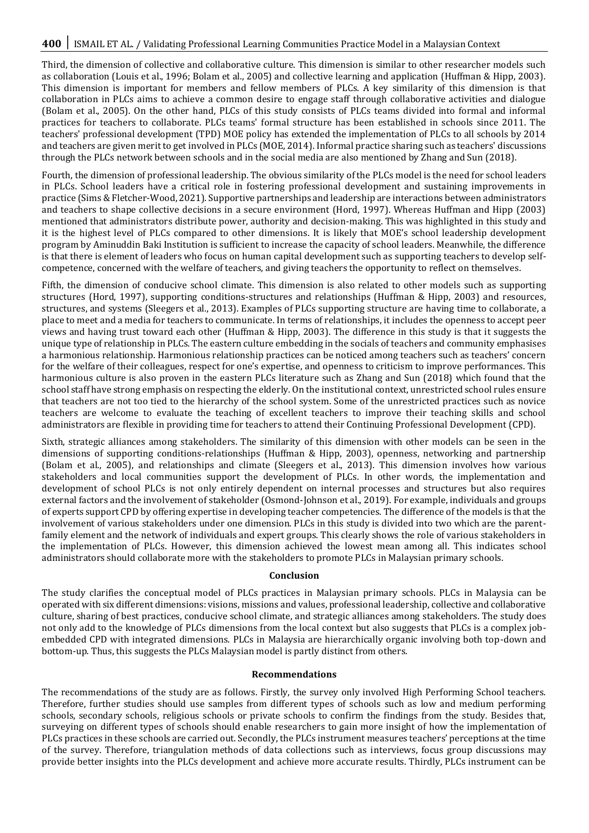Third, the dimension of collective and collaborative culture. This dimension is similar to other researcher models such as collaboration (Louis et al., 1996; Bolam et al., 2005) and collective learning and application (Huffman & Hipp, 2003). This dimension is important for members and fellow members of PLCs. A key similarity of this dimension is that collaboration in PLCs aims to achieve a common desire to engage staff through collaborative activities and dialogue (Bolam et al., 2005). On the other hand, PLCs of this study consists of PLCs teams divided into formal and informal practices for teachers to collaborate. PLCs teams' formal structure has been established in schools since 2011. The teachers' professional development (TPD) MOE policy has extended the implementation of PLCs to all schools by 2014 and teachers are given merit to get involved in PLCs (MOE, 2014). Informal practice sharing such as teachers' discussions through the PLCs network between schools and in the social media are also mentioned by Zhang and Sun (2018).

Fourth, the dimension of professional leadership. The obvious similarity of the PLCs model is the need for school leaders in PLCs. School leaders have a critical role in fostering professional development and sustaining improvements in practice (Sims & Fletcher-Wood, 2021). Supportive partnerships and leadership are interactions between administrators and teachers to shape collective decisions in a secure environment (Hord, 1997). Whereas Huffman and Hipp (2003) mentioned that administrators distribute power, authority and decision-making. This was highlighted in this study and it is the highest level of PLCs compared to other dimensions. It is likely that MOE's school leadership development program by Aminuddin Baki Institution is sufficient to increase the capacity of school leaders. Meanwhile, the difference is that there is element of leaders who focus on human capital development such as supporting teachers to develop selfcompetence, concerned with the welfare of teachers, and giving teachers the opportunity to reflect on themselves.

Fifth, the dimension of conducive school climate. This dimension is also related to other models such as supporting structures (Hord, 1997), supporting conditions-structures and relationships (Huffman & Hipp, 2003) and resources, structures, and systems (Sleegers et al., 2013). Examples of PLCs supporting structure are having time to collaborate, a place to meet and a media for teachers to communicate. In terms of relationships, it includes the openness to accept peer views and having trust toward each other (Huffman & Hipp, 2003). The difference in this study is that it suggests the unique type of relationship in PLCs. The eastern culture embedding in the socials of teachers and community emphasises a harmonious relationship. Harmonious relationship practices can be noticed among teachers such as teachers' concern for the welfare of their colleagues, respect for one's expertise, and openness to criticism to improve performances. This harmonious culture is also proven in the eastern PLCs literature such as Zhang and Sun (2018) which found that the school staff have strong emphasis on respecting the elderly. On the institutional context, unrestricted school rules ensure that teachers are not too tied to the hierarchy of the school system. Some of the unrestricted practices such as novice teachers are welcome to evaluate the teaching of excellent teachers to improve their teaching skills and school administrators are flexible in providing time for teachers to attend their Continuing Professional Development (CPD).

Sixth, strategic alliances among stakeholders. The similarity of this dimension with other models can be seen in the dimensions of supporting conditions-relationships (Huffman & Hipp, 2003), openness, networking and partnership (Bolam et al., 2005), and relationships and climate (Sleegers et al., 2013). This dimension involves how various stakeholders and local communities support the development of PLCs. In other words, the implementation and development of school PLCs is not only entirely dependent on internal processes and structures but also requires external factors and the involvement of stakeholder (Osmond-Johnson et al., 2019). For example, individuals and groups of experts support CPD by offering expertise in developing teacher competencies. The difference of the models is that the involvement of various stakeholders under one dimension. PLCs in this study is divided into two which are the parentfamily element and the network of individuals and expert groups. This clearly shows the role of various stakeholders in the implementation of PLCs. However, this dimension achieved the lowest mean among all. This indicates school administrators should collaborate more with the stakeholders to promote PLCs in Malaysian primary schools.

#### **Conclusion**

The study clarifies the conceptual model of PLCs practices in Malaysian primary schools. PLCs in Malaysia can be operated with six different dimensions: visions, missions and values, professional leadership, collective and collaborative culture, sharing of best practices, conducive school climate, and strategic alliances among stakeholders. The study does not only add to the knowledge of PLCs dimensions from the local context but also suggests that PLCs is a complex jobembedded CPD with integrated dimensions. PLCs in Malaysia are hierarchically organic involving both top-down and bottom-up. Thus, this suggests the PLCs Malaysian model is partly distinct from others.

#### **Recommendations**

The recommendations of the study are as follows. Firstly, the survey only involved High Performing School teachers. Therefore, further studies should use samples from different types of schools such as low and medium performing schools, secondary schools, religious schools or private schools to confirm the findings from the study. Besides that, surveying on different types of schools should enable researchers to gain more insight of how the implementation of PLCs practices in these schools are carried out. Secondly, the PLCs instrument measures teachers' perceptions at the time of the survey. Therefore, triangulation methods of data collections such as interviews, focus group discussions may provide better insights into the PLCs development and achieve more accurate results. Thirdly, PLCs instrument can be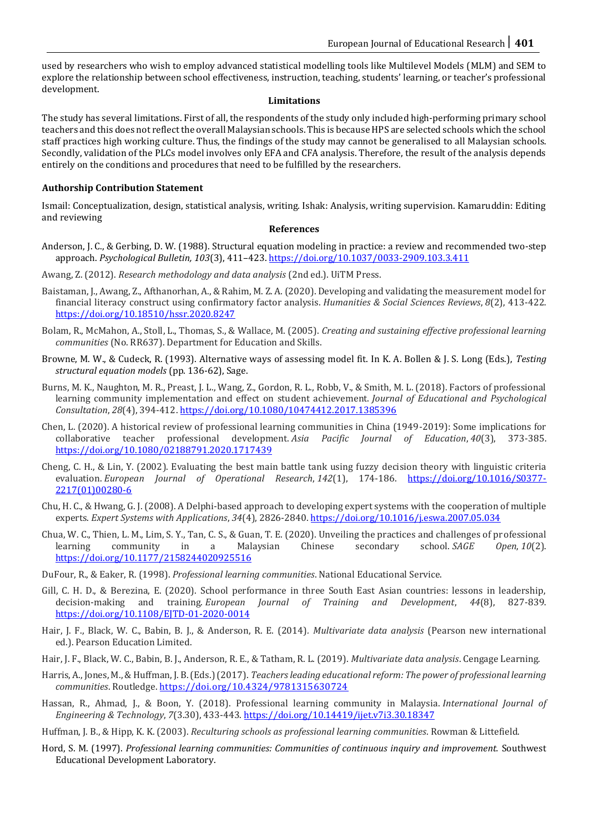used by researchers who wish to employ advanced statistical modelling tools like Multilevel Models (MLM) and SEM to explore the relationship between school effectiveness, instruction, teaching, students' learning, or teacher's professional development.

### **Limitations**

The study has several limitations. First of all, the respondents of the study only included high-performing primary school teachers and this does not reflect the overall Malaysian schools. This is because HPS are selected schools which the school staff practices high working culture. Thus, the findings of the study may cannot be generalised to all Malaysian schools. Secondly, validation of the PLCs model involves only EFA and CFA analysis. Therefore, the result of the analysis depends entirely on the conditions and procedures that need to be fulfilled by the researchers.

# **Authorship Contribution Statement**

Ismail: Conceptualization, design, statistical analysis, writing. Ishak: Analysis, writing supervision. Kamaruddin: Editing and reviewing

#### **References**

- Anderson, J. C., & Gerbing, D. W. (1988). Structural equation modeling in practice: a review and recommended two-step approach. *Psychological Bulletin, 103*(3), 411–423.<https://doi.org/10.1037/0033-2909.103.3.411>
- Awang, Z. (2012). *Research methodology and data analysis* (2nd ed.). UiTM Press.
- Baistaman, J., Awang, Z., Afthanorhan, A., & Rahim, M. Z. A. (2020). Developing and validating the measurement model for financial literacy construct using confirmatory factor analysis. *Humanities & Social Sciences Reviews*, *8*(2), 413-422. <https://doi.org/10.18510/hssr.2020.8247>
- Bolam, R., McMahon, A., Stoll, L., Thomas, S., & Wallace, M. (2005). *Creating and sustaining effective professional learning communities* (No. RR637). Department for Education and Skills.
- Browne, M. W., & Cudeck, R. (1993). Alternative ways of assessing model fit. In K. A. Bollen & J. S. Long (Eds.), *Testing structural equation models* (pp. 136-62), Sage.
- Burns, M. K., Naughton, M. R., Preast, J. L., Wang, Z., Gordon, R. L., Robb, V., & Smith, M. L. (2018). Factors of professional learning community implementation and effect on student achievement. *Journal of Educational and Psychological Consultation*, *28*(4), 394-412. <https://doi.org/10.1080/10474412.2017.1385396>
- Chen, L. (2020). A historical review of professional learning communities in China (1949-2019): Some implications for collaborative teacher professional development. *Asia Pacific Journal of Education*, *40*(3), 373-385. <https://doi.org/10.1080/02188791.2020.1717439>
- Cheng, C. H., & Lin, Y. (2002). Evaluating the best main battle tank using fuzzy decision theory with linguistic criteria evaluation. *European Journal of Operational Research*, 142(1), 174-186. [https://doi.org/10.1016/S0377-](https://doi.org/10.1016/S0377-2217(01)00280-6) [2217\(01\)00280-6](https://doi.org/10.1016/S0377-2217(01)00280-6)
- Chu, H. C., & Hwang, G. J. (2008). A Delphi-based approach to developing expert systems with the cooperation of multiple experts. *Expert Systems with Applications*, *34*(4), 2826-2840. <https://doi.org/10.1016/j.eswa.2007.05.034>
- Chua, W. C., Thien, L. M., Lim, S. Y., Tan, C. S., & Guan, T. E. (2020). Unveiling the practices and challenges of professional learning community in a Malaysian Chinese secondary school. *SAGE Open*, *10*(2). [https://doi.org/10.1177/2158244020925516](https://doi.org/10.1177%2F2158244020925516)
- DuFour, R., & Eaker, R. (1998). *Professional learning communities*. National Educational Service.
- Gill, C. H. D., & Berezina, E. (2020). School performance in three South East Asian countries: lessons in leadership, decision-making and training. *European Journal of Training and Development*, *44*(8), 827-839. <https://doi.org/10.1108/EJTD-01-2020-0014>
- Hair, J. F., Black, W. C., Babin, B. J., & Anderson, R. E. (2014)*. Multivariate data analysis* (Pearson new international ed.). Pearson Education Limited.
- Hair, J. F., Black, W. C., Babin, B. J., Anderson, R. E., & Tatham, R. L. (2019). *Multivariate data analysis*. Cengage Learning.
- Harris, A., Jones, M., & Huffman, J. B. (Eds.) (2017). *Teachers leading educational reform: The power of professional learning communities*. Routledge[. https://doi.org/10.4324/9781315630724](https://doi.org/10.4324/9781315630724)
- Hassan, R., Ahmad, J., & Boon, Y. (2018). Professional learning community in Malaysia. *International Journal of Engineering & Technology*, *7*(3.30), 433-443[. https://doi.org/10.14419/ijet.v7i3.30.18347](https://doi.org/10.14419/ijet.v7i3.30.18347)
- Huffman, J. B., & Hipp, K. K. (2003). *Reculturing schools as professional learning communities*. Rowman & Littefield.
- Hord, S. M. (1997). *Professional learning communities: Communities of continuous inquiry and improvement.* Southwest Educational Development Laboratory.